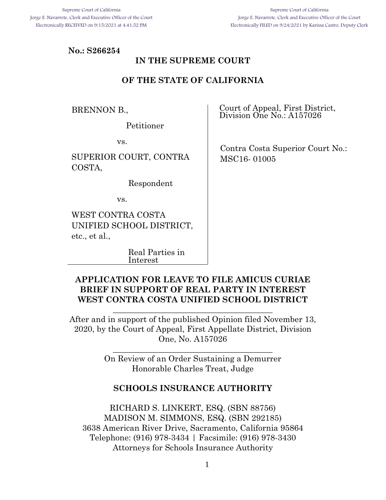#### **No.: S266254**

## **IN THE SUPREME COURT**

#### **OF THE STATE OF CALIFORNIA**

BRENNON B.,

Petitioner

vs.

SUPERIOR COURT, CONTRA COSTA,

Respondent

vs.

WEST CONTRA COSTA UNIFIED SCHOOL DISTRICT, etc., et al.,

> Real Parties in Interest

Court of Appeal, First District, Division One No.: A157026

 Contra Costa Superior Court No.: MSC16- 01005

#### **APPLICATION FOR LEAVE TO FILE AMICUS CURIAE BRIEF IN SUPPORT OF REAL PARTY IN INTEREST WEST CONTRA COSTA UNIFIED SCHOOL DISTRICT**

After and in support of the published Opinion filed November 13, 2020, by the Court of Appeal, First Appellate District, Division One, No. A157026

\_\_\_\_\_\_\_\_\_\_\_\_\_\_\_\_\_\_\_\_\_\_\_\_\_\_\_\_\_\_\_\_\_\_\_\_\_\_\_

On Review of an Order Sustaining a Demurrer Honorable Charles Treat, Judge

\_\_\_\_\_\_\_\_\_\_\_\_\_\_\_\_\_\_\_\_\_\_\_\_\_\_\_\_\_\_\_\_\_\_\_\_\_\_\_

#### **SCHOOLS INSURANCE AUTHORITY**

RICHARD S. LINKERT, ESQ. (SBN 88756) MADISON M. SIMMONS, ESQ. (SBN 292185) 3638 American River Drive, Sacramento, California 95864 Telephone: (916) 978-3434 | Facsimile: (916) 978-3430 Attorneys for Schools Insurance Authority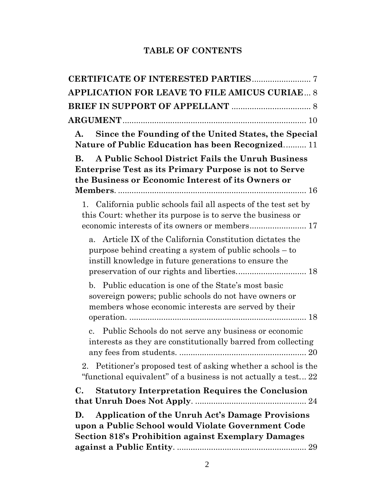## **TABLE OF CONTENTS**

| APPLICATION FOR LEAVE TO FILE AMICUS CURIAE 8                                                                                                                                                |
|----------------------------------------------------------------------------------------------------------------------------------------------------------------------------------------------|
|                                                                                                                                                                                              |
|                                                                                                                                                                                              |
| Since the Founding of the United States, the Special<br>A.<br>Nature of Public Education has been Recognized 11                                                                              |
| A Public School District Fails the Unruh Business<br>В.                                                                                                                                      |
| <b>Enterprise Test as its Primary Purpose is not to Serve</b><br>the Business or Economic Interest of its Owners or                                                                          |
|                                                                                                                                                                                              |
| California public schools fail all aspects of the test set by<br>1.<br>this Court: whether its purpose is to serve the business or<br>economic interests of its owners or members 17         |
| Article IX of the California Constitution dictates the<br>a <sub>z</sub><br>purpose behind creating a system of public schools – to<br>instill knowledge in future generations to ensure the |
| b. Public education is one of the State's most basic<br>sovereign powers; public schools do not have owners or<br>members whose economic interests are served by their                       |
| Public Schools do not serve any business or economic<br>$\mathbf{c}$ .<br>interests as they are constitutionally barred from collecting                                                      |
| 2. Petitioner's proposed test of asking whether a school is the<br>"functional equivalent" of a business is not actually a test 22                                                           |
| C.<br><b>Statutory Interpretation Requires the Conclusion</b>                                                                                                                                |
| <b>Application of the Unruh Act's Damage Provisions</b><br>D.<br>upon a Public School would Violate Government Code<br><b>Section 818's Prohibition against Exemplary Damages</b>            |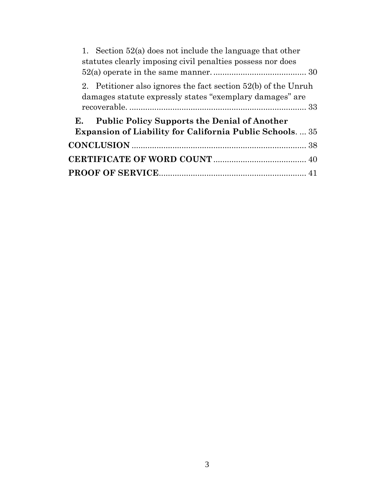| 1. Section $52(a)$ does not include the language that other<br>statutes clearly imposing civil penalties possess nor does    |
|------------------------------------------------------------------------------------------------------------------------------|
| 2. Petitioner also ignores the fact section $52(b)$ of the Unruh<br>damages statute expressly states "exemplary damages" are |
| <b>Public Policy Supports the Denial of Another</b><br>E.<br><b>Expansion of Liability for California Public Schools35</b>   |
|                                                                                                                              |
|                                                                                                                              |
|                                                                                                                              |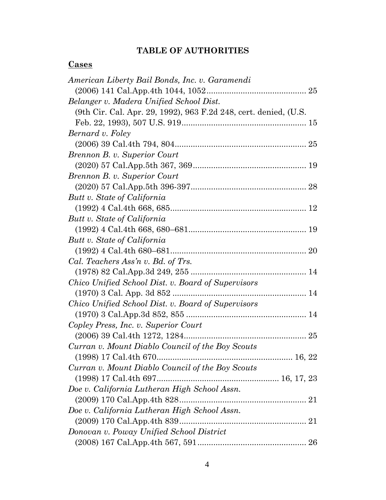## **TABLE OF AUTHORITIES**

# **Cases**

| American Liberty Bail Bonds, Inc. v. Garamendi                   |
|------------------------------------------------------------------|
|                                                                  |
| Belanger v. Madera Unified School Dist.                          |
| (9th Cir. Cal. Apr. 29, 1992), 963 F.2d 248, cert. denied, (U.S. |
|                                                                  |
| Bernard v. Foley                                                 |
|                                                                  |
| Brennon B. v. Superior Court                                     |
|                                                                  |
| Brennon B. v. Superior Court                                     |
|                                                                  |
| Butt v. State of California                                      |
|                                                                  |
| Butt v. State of California                                      |
|                                                                  |
| Butt v. State of California                                      |
|                                                                  |
| Cal. Teachers Ass'n v. Bd. of Trs.                               |
|                                                                  |
| Chico Unified School Dist. v. Board of Supervisors               |
|                                                                  |
| Chico Unified School Dist. v. Board of Supervisors               |
|                                                                  |
| Copley Press, Inc. v. Superior Court                             |
|                                                                  |
| Curran v. Mount Diablo Council of the Boy Scouts                 |
| 16, 22                                                           |
| Curran v. Mount Diablo Council of the Boy Scouts                 |
|                                                                  |
| Doe v. California Lutheran High School Assn.                     |
|                                                                  |
| Doe v. California Lutheran High School Assn.                     |
|                                                                  |
| Donovan v. Poway Unified School District                         |
|                                                                  |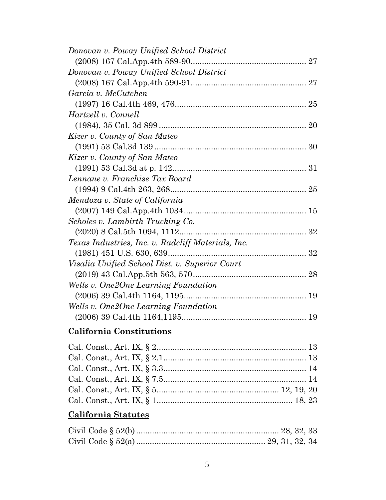| Donovan v. Poway Unified School District           |  |
|----------------------------------------------------|--|
|                                                    |  |
| Donovan v. Poway Unified School District           |  |
|                                                    |  |
| Garcia v. McCutchen                                |  |
|                                                    |  |
| Hartzell v. Connell                                |  |
|                                                    |  |
| Kizer v. County of San Mateo                       |  |
|                                                    |  |
| Kizer v. County of San Mateo                       |  |
|                                                    |  |
| Lennane v. Franchise Tax Board                     |  |
|                                                    |  |
| Mendoza v. State of California                     |  |
|                                                    |  |
| Scholes v. Lambirth Trucking Co.                   |  |
|                                                    |  |
| Texas Industries, Inc. v. Radcliff Materials, Inc. |  |
|                                                    |  |
| Visalia Unified School Dist. v. Superior Court     |  |
|                                                    |  |
| Wells v. One2One Learning Foundation               |  |
|                                                    |  |
| Wells v. One2One Learning Foundation               |  |
|                                                    |  |
|                                                    |  |

# **California Constitutions**

# **California Statutes**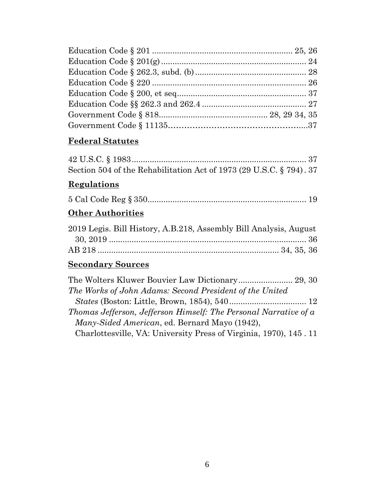# **Federal Statutes**

| Section 504 of the Rehabilitation Act of 1973 (29 U.S.C. § 794). 37 |  |  |
|---------------------------------------------------------------------|--|--|

## **Regulations**

|--|--|--|--|--|

# **Other Authorities**

| 2019 Legis. Bill History, A.B.218, Assembly Bill Analysis, August |  |
|-------------------------------------------------------------------|--|
|                                                                   |  |
|                                                                   |  |

# **Secondary Sources**

| The Works of John Adams: Second President of the United           |  |
|-------------------------------------------------------------------|--|
|                                                                   |  |
| Thomas Jefferson, Jefferson Himself: The Personal Narrative of a  |  |
| Many-Sided American, ed. Bernard Mayo (1942),                     |  |
| Charlottesville, VA: University Press of Virginia, 1970), 145, 11 |  |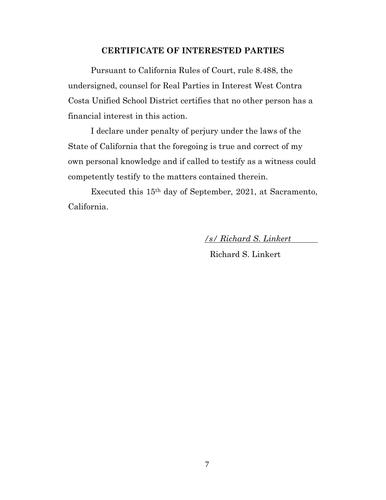#### **CERTIFICATE OF INTERESTED PARTIES**

<span id="page-6-0"></span>Pursuant to California Rules of Court, rule 8.488, the undersigned, counsel for Real Parties in Interest West Contra Costa Unified School District certifies that no other person has a financial interest in this action.

I declare under penalty of perjury under the laws of the State of California that the foregoing is true and correct of my own personal knowledge and if called to testify as a witness could competently testify to the matters contained therein.

Executed this 15th day of September, 2021, at Sacramento, California.

*/s/ Richard S. Linkert*

Richard S. Linkert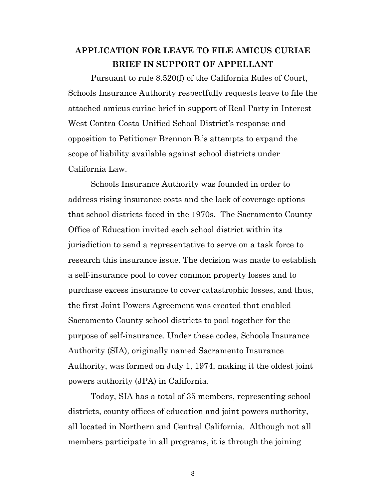# <span id="page-7-0"></span>**APPLICATION FOR LEAVE TO FILE AMICUS CURIAE BRIEF IN SUPPORT OF APPELLANT**

<span id="page-7-1"></span>Pursuant to rule 8.520(f) of the California Rules of Court, Schools Insurance Authority respectfully requests leave to file the attached amicus curiae brief in support of Real Party in Interest West Contra Costa Unified School District's response and opposition to Petitioner Brennon B.'s attempts to expand the scope of liability available against school districts under California Law.

Schools Insurance Authority was founded in order to address rising insurance costs and the lack of coverage options that school districts faced in the 1970s. The Sacramento County Office of Education invited each school district within its jurisdiction to send a representative to serve on a task force to research this insurance issue. The decision was made to establish a self-insurance pool to cover common property losses and to purchase excess insurance to cover catastrophic losses, and thus, the first Joint Powers Agreement was created that enabled Sacramento County school districts to pool together for the purpose of self-insurance. Under these codes, Schools Insurance Authority (SIA), originally named Sacramento Insurance Authority, was formed on July 1, 1974, making it the oldest joint powers authority (JPA) in California.

Today, SIA has a total of 35 members, representing school districts, county offices of education and joint powers authority, all located in Northern and Central California. Although not all members participate in all programs, it is through the joining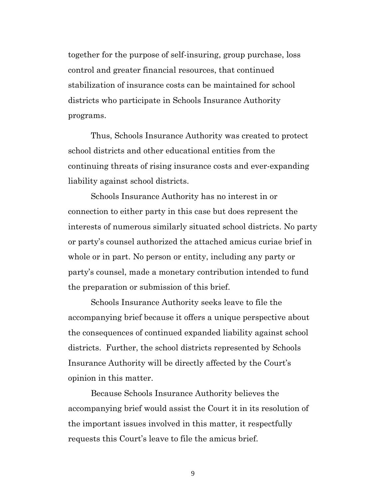together for the purpose of self-insuring, group purchase, loss control and greater financial resources, that continued stabilization of insurance costs can be maintained for school districts who participate in Schools Insurance Authority programs.

Thus, Schools Insurance Authority was created to protect school districts and other educational entities from the continuing threats of rising insurance costs and ever-expanding liability against school districts.

Schools Insurance Authority has no interest in or connection to either party in this case but does represent the interests of numerous similarly situated school districts. No party or party's counsel authorized the attached amicus curiae brief in whole or in part. No person or entity, including any party or party's counsel, made a monetary contribution intended to fund the preparation or submission of this brief.

Schools Insurance Authority seeks leave to file the accompanying brief because it offers a unique perspective about the consequences of continued expanded liability against school districts. Further, the school districts represented by Schools Insurance Authority will be directly affected by the Court's opinion in this matter.

Because Schools Insurance Authority believes the accompanying brief would assist the Court it in its resolution of the important issues involved in this matter, it respectfully requests this Court's leave to file the amicus brief.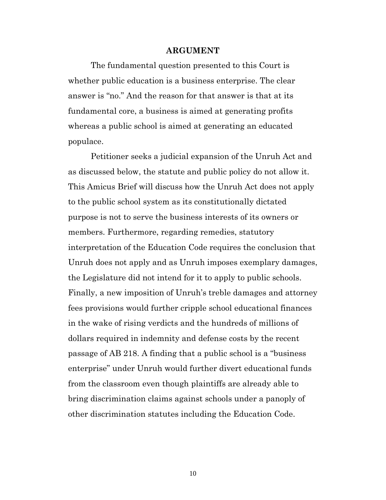#### **ARGUMENT**

<span id="page-9-0"></span>The fundamental question presented to this Court is whether public education is a business enterprise. The clear answer is "no." And the reason for that answer is that at its fundamental core, a business is aimed at generating profits whereas a public school is aimed at generating an educated populace.

Petitioner seeks a judicial expansion of the Unruh Act and as discussed below, the statute and public policy do not allow it. This Amicus Brief will discuss how the Unruh Act does not apply to the public school system as its constitutionally dictated purpose is not to serve the business interests of its owners or members. Furthermore, regarding remedies, statutory interpretation of the Education Code requires the conclusion that Unruh does not apply and as Unruh imposes exemplary damages, the Legislature did not intend for it to apply to public schools. Finally, a new imposition of Unruh's treble damages and attorney fees provisions would further cripple school educational finances in the wake of rising verdicts and the hundreds of millions of dollars required in indemnity and defense costs by the recent passage of AB 218. A finding that a public school is a "business enterprise" under Unruh would further divert educational funds from the classroom even though plaintiffs are already able to bring discrimination claims against schools under a panoply of other discrimination statutes including the Education Code.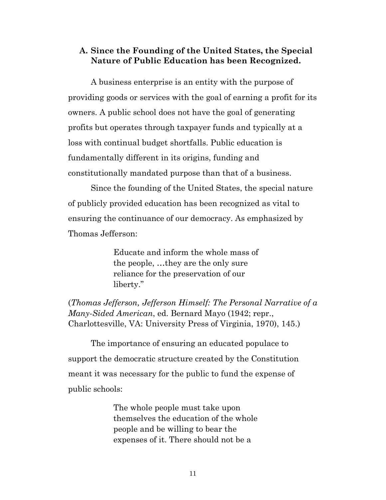#### <span id="page-10-0"></span>**A. Since the Founding of the United States, the Special Nature of Public Education has been Recognized.**

A business enterprise is an entity with the purpose of providing goods or services with the goal of earning a profit for its owners. A public school does not have the goal of generating profits but operates through taxpayer funds and typically at a loss with continual budget shortfalls. Public education is fundamentally different in its origins, funding and constitutionally mandated purpose than that of a business.

Since the founding of the United States, the special nature of publicly provided education has been recognized as vital to ensuring the continuance of our democracy. As emphasized by Thomas Jefferson:

> Educate and inform the whole mass of the people, …they are the only sure reliance for the preservation of our liberty."

(*Thomas Jefferson, Jefferson Himself: The Personal Narrative of a Many-Sided American*, ed. Bernard Mayo (1942; repr., Charlottesville, VA: University Press of Virginia, 1970), 145.)

The importance of ensuring an educated populace to support the democratic structure created by the Constitution meant it was necessary for the public to fund the expense of public schools:

> The whole people must take upon themselves the education of the whole people and be willing to bear the expenses of it. There should not be a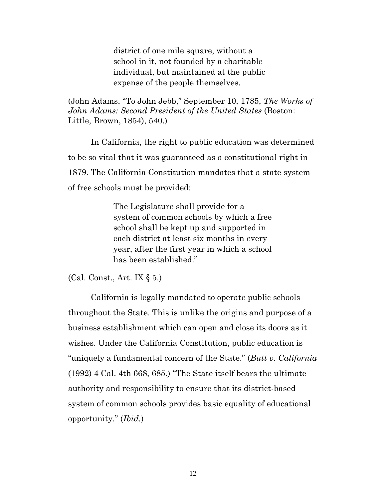district of one mile square, without a school in it, not founded by a charitable individual, but maintained at the public expense of the people themselves.

(John Adams, "To John Jebb," September 10, 1785, *The Works of John Adams: Second President of the United States* (Boston: Little, Brown, 1854), 540.)

In California, the right to public education was determined to be so vital that it was guaranteed as a constitutional right in 1879. The California Constitution mandates that a state system of free schools must be provided:

> The Legislature shall provide for a system of common schools by which a free school shall be kept up and supported in each district at least six months in every year, after the first year in which a school has been established."

(Cal. Const., Art. IX § 5.)

California is legally mandated to operate public schools throughout the State. This is unlike the origins and purpose of a business establishment which can open and close its doors as it wishes. Under the California Constitution, public education is "uniquely a fundamental concern of the State." (*Butt v. California* (1992) 4 Cal. 4th 668, 685.) "The State itself bears the ultimate authority and responsibility to ensure that its district-based system of common schools provides basic equality of educational opportunity." (*Ibid.*)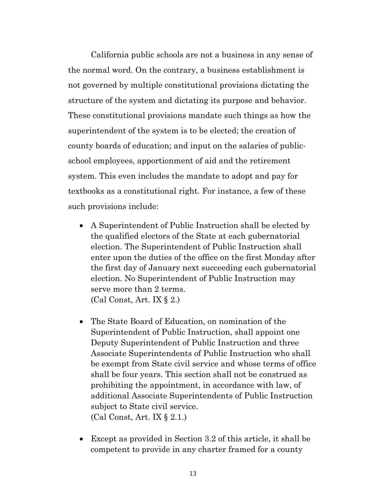California public schools are not a business in any sense of the normal word. On the contrary, a business establishment is not governed by multiple constitutional provisions dictating the structure of the system and dictating its purpose and behavior. These constitutional provisions mandate such things as how the superintendent of the system is to be elected; the creation of county boards of education; and input on the salaries of publicschool employees, apportionment of aid and the retirement system. This even includes the mandate to adopt and pay for textbooks as a constitutional right. For instance, a few of these such provisions include:

- A Superintendent of Public Instruction shall be elected by the qualified electors of the State at each gubernatorial election. The Superintendent of Public Instruction shall enter upon the duties of the office on the first Monday after the first day of January next succeeding each gubernatorial election. No Superintendent of Public Instruction may serve more than 2 terms. (Cal Const, Art. IX § 2.)
- The State Board of Education, on nomination of the Superintendent of Public Instruction, shall appoint one Deputy Superintendent of Public Instruction and three Associate Superintendents of Public Instruction who shall be exempt from State civil service and whose terms of office shall be four years. This section shall not be construed as prohibiting the appointment, in accordance with law, of additional Associate Superintendents of Public Instruction subject to State civil service. (Cal Const, Art. IX § 2.1.)
- Except as provided in Section 3.2 of this article, it shall be competent to provide in any charter framed for a county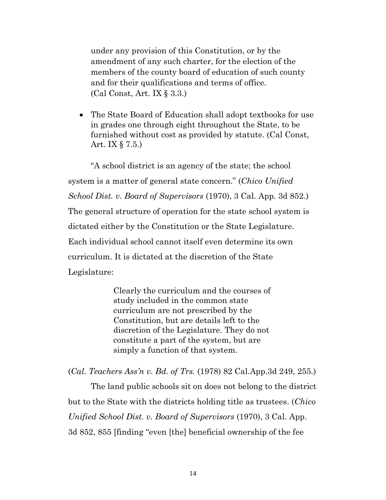under any provision of this Constitution, or by the amendment of any such charter, for the election of the members of the county board of education of such county and for their qualifications and terms of office. (Cal Const, Art. IX § 3.3.)

• The State Board of Education shall adopt textbooks for use in grades one through eight throughout the State, to be furnished without cost as provided by statute. (Cal Const, Art. IX § 7.5.)

"A school district is an agency of the state; the school system is a matter of general state concern." (*Chico Unified School Dist. v. Board of Supervisors* (1970), 3 Cal. App. 3d 852.) The general structure of operation for the state school system is dictated either by the Constitution or the State Legislature. Each individual school cannot itself even determine its own curriculum. It is dictated at the discretion of the State Legislature:

> Clearly the curriculum and the courses of study included in the common state curriculum are not prescribed by the Constitution, but are details left to the discretion of the Legislature. They do not constitute a part of the system, but are simply a function of that system.

(*Cal. Teachers Ass'n v. Bd. of Trs.* (1978) 82 Cal.App.3d 249, 255.)

The land public schools sit on does not belong to the district but to the State with the districts holding title as trustees. (*Chico Unified School Dist. v. Board of Supervisors* (1970), 3 Cal. App. 3d 852, 855 [finding "even [the] beneficial ownership of the fee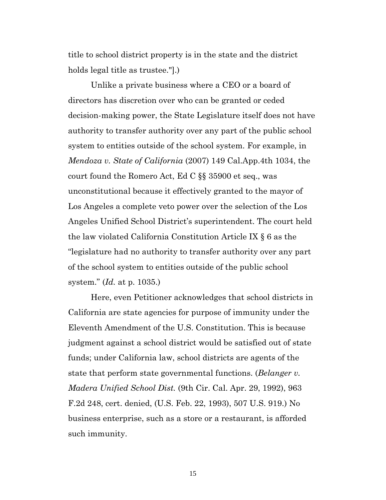title to school district property is in the state and the district holds legal title as trustee."].)

Unlike a private business where a CEO or a board of directors has discretion over who can be granted or ceded decision-making power, the State Legislature itself does not have authority to transfer authority over any part of the public school system to entities outside of the school system. For example, in *Mendoza v. State of California* (2007) 149 Cal.App.4th 1034, the court found the Romero Act, Ed C §§ 35900 et seq., was unconstitutional because it effectively granted to the mayor of Los Angeles a complete veto power over the selection of the Los Angeles Unified School District's superintendent. The court held the law violated California Constitution Article IX § 6 as the "legislature had no authority to transfer authority over any part of the school system to entities outside of the public school system." (*Id.* at p. 1035.)

Here, even Petitioner acknowledges that school districts in California are state agencies for purpose of immunity under the Eleventh Amendment of the U.S. Constitution. This is because judgment against a school district would be satisfied out of state funds; under California law, school districts are agents of the state that perform state governmental functions. (*Belanger v. Madera Unified School Dist.* (9th Cir. Cal. Apr. 29, 1992), 963 F.2d 248, cert. denied, (U.S. Feb. 22, 1993), 507 U.S. 919.) No business enterprise, such as a store or a restaurant, is afforded such immunity.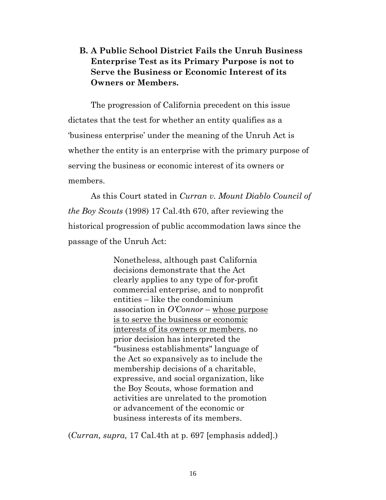## <span id="page-15-0"></span>**B. A Public School District Fails the Unruh Business Enterprise Test as its Primary Purpose is not to Serve the Business or Economic Interest of its Owners or Members.**

The progression of California precedent on this issue dictates that the test for whether an entity qualifies as a 'business enterprise' under the meaning of the Unruh Act is whether the entity is an enterprise with the primary purpose of serving the business or economic interest of its owners or members.

As this Court stated in *Curran v. Mount Diablo Council of the Boy Scouts* (1998) 17 Cal.4th 670, after reviewing the historical progression of public accommodation laws since the passage of the Unruh Act:

> Nonetheless, although past California decisions demonstrate that the Act clearly applies to any type of for-profit commercial enterprise, and to nonprofit entities – like the condominium association in *O'Connor* – whose purpose is to serve the business or economic interests of its owners or members, no prior decision has interpreted the "business establishments" language of the Act so expansively as to include the membership decisions of a charitable, expressive, and social organization, like the Boy Scouts, whose formation and activities are unrelated to the promotion or advancement of the economic or business interests of its members.

(*Curran, supra,* 17 Cal.4th at p. 697 [emphasis added].)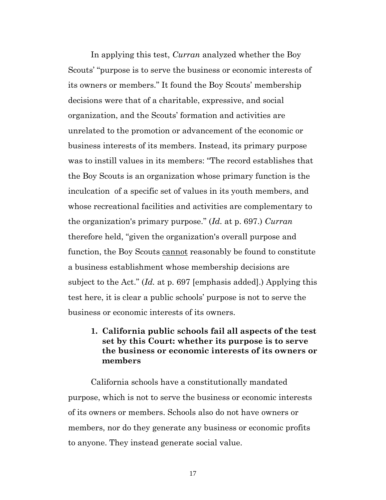In applying this test, *Curran* analyzed whether the Boy Scouts' "purpose is to serve the business or economic interests of its owners or members." It found the Boy Scouts' membership decisions were that of a charitable, expressive, and social organization, and the Scouts' formation and activities are unrelated to the promotion or advancement of the economic or business interests of its members. Instead, its primary purpose was to instill values in its members: "The record establishes that the Boy Scouts is an organization whose primary function is the inculcation of a specific set of values in its youth members, and whose recreational facilities and activities are complementary to the organization's primary purpose." (*Id.* at p. 697.) *Curran* therefore held, "given the organization's overall purpose and function, the Boy Scouts cannot reasonably be found to constitute a business establishment whose membership decisions are subject to the Act." (*Id.* at p. 697 [emphasis added].) Applying this test here, it is clear a public schools' purpose is not to serve the business or economic interests of its owners.

### <span id="page-16-0"></span>**1. California public schools fail all aspects of the test set by this Court: whether its purpose is to serve the business or economic interests of its owners or members**

California schools have a constitutionally mandated purpose, which is not to serve the business or economic interests of its owners or members. Schools also do not have owners or members, nor do they generate any business or economic profits to anyone. They instead generate social value.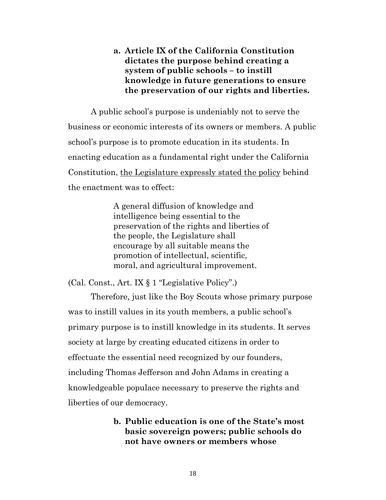## <span id="page-17-0"></span>**a. Article IX of the California Constitution dictates the purpose behind creating a system of public schools – to instill knowledge in future generations to ensure the preservation of our rights and liberties.**

A public school's purpose is undeniably not to serve the business or economic interests of its owners or members. A public school's purpose is to promote education in its students. In enacting education as a fundamental right under the California Constitution, the Legislature expressly stated the policy behind the enactment was to effect:

> A general diffusion of knowledge and intelligence being essential to the preservation of the rights and liberties of the people, the Legislature shall encourage by all suitable means the promotion of intellectual, scientific, moral, and agricultural improvement.

(Cal. Const., Art. IX § 1 "Legislative Policy".)

Therefore, just like the Boy Scouts whose primary purpose was to instill values in its youth members, a public school's primary purpose is to instill knowledge in its students. It serves society at large by creating educated citizens in order to effectuate the essential need recognized by our founders, including Thomas Jefferson and John Adams in creating a knowledgeable populace necessary to preserve the rights and liberties of our democracy.

### <span id="page-17-1"></span>**b. Public education is one of the State's most basic sovereign powers; public schools do not have owners or members whose**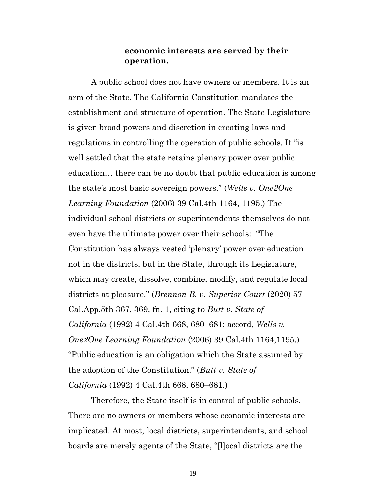#### **economic interests are served by their operation.**

A public school does not have owners or members. It is an arm of the State. The California Constitution mandates the establishment and structure of operation. The State Legislature is given broad powers and discretion in creating laws and regulations in controlling the operation of public schools. It "is well settled that the state retains plenary power over public education… there can be no doubt that public education is among the state's most basic sovereign powers." (*Wells v. One2One Learning Foundation* (2006) 39 Cal.4th 1164, 1195.) The individual school districts or superintendents themselves do not even have the ultimate power over their schools: "The Constitution has always vested 'plenary' power over education not in the districts, but in the State, through its Legislature, which may create, dissolve, combine, modify, and regulate local districts at pleasure." (*Brennon B. v. Superior Court* (2020) 57 Cal.App.5th 367, 369, fn. 1, citing to *Butt v. State of California* (1992) 4 Cal.4th 668, 680–681; accord, *Wells v. One2One Learning Foundation* (2006) 39 Cal.4th 1164,1195.) "Public education is an obligation which the State assumed by the adoption of the Constitution." (*Butt v. State of California* (1992) 4 Cal.4th 668, 680–681.)

Therefore, the State itself is in control of public schools. There are no owners or members whose economic interests are implicated. At most, local districts, superintendents, and school boards are merely agents of the State, "[l]ocal districts are the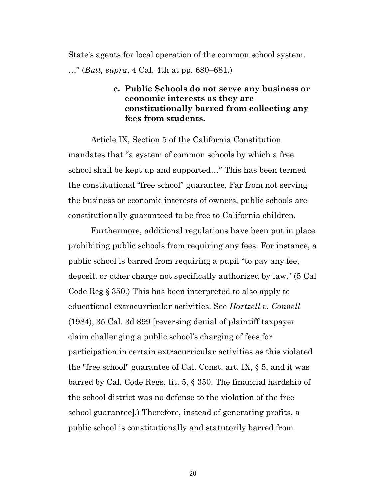<span id="page-19-0"></span>State's agents for local operation of the common school system. …" (*Butt, supra*, 4 Cal. 4th at pp. 680–681.)

### **c. Public Schools do not serve any business or economic interests as they are constitutionally barred from collecting any fees from students.**

Article IX, Section 5 of the California Constitution mandates that "a system of common schools by which a free school shall be kept up and supported…" This has been termed the constitutional "free school" guarantee. Far from not serving the business or economic interests of owners, public schools are constitutionally guaranteed to be free to California children.

Furthermore, additional regulations have been put in place prohibiting public schools from requiring any fees. For instance, a public school is barred from requiring a pupil "to pay any fee, deposit, or other charge not specifically authorized by law." (5 Cal Code Reg § 350.) This has been interpreted to also apply to educational extracurricular activities. See *Hartzell v. Connell* (1984), 35 Cal. 3d 899 [reversing denial of plaintiff taxpayer claim challenging a public school's charging of fees for participation in certain extracurricular activities as this violated the "free school" guarantee of Cal. Const. art. IX, § 5, and it was barred by Cal. Code Regs. tit. 5, § 350. The financial hardship of the school district was no defense to the violation of the free school guarantee].) Therefore, instead of generating profits, a public school is constitutionally and statutorily barred from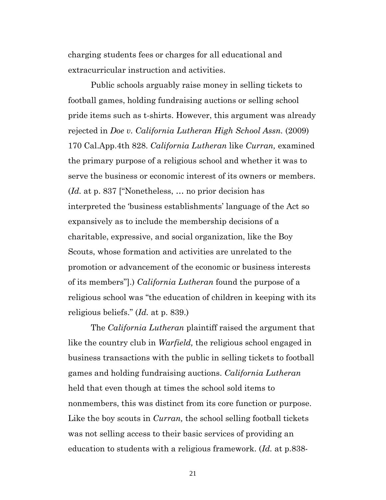charging students fees or charges for all educational and extracurricular instruction and activities.

Public schools arguably raise money in selling tickets to football games, holding fundraising auctions or selling school pride items such as t-shirts. However, this argument was already rejected in *Doe v. California Lutheran High School Assn.* (2009) 170 Cal.App.4th 828. *California Lutheran* like *Curran,* examined the primary purpose of a religious school and whether it was to serve the business or economic interest of its owners or members. (*Id.* at p. 837 ["Nonetheless, … no prior decision has interpreted the 'business establishments' language of the Act so expansively as to include the membership decisions of a charitable, expressive, and social organization, like the Boy Scouts, whose formation and activities are unrelated to the promotion or advancement of the economic or business interests of its members"].) *California Lutheran* found the purpose of a religious school was "the education of children in keeping with its religious beliefs." (*Id.* at p. 839.)

The *California Lutheran* plaintiff raised the argument that like the country club in *Warfield,* the religious school engaged in business transactions with the public in selling tickets to football games and holding fundraising auctions. *California Lutheran*  held that even though at times the school sold items to nonmembers, this was distinct from its core function or purpose. Like the boy scouts in *Curran,* the school selling football tickets was not selling access to their basic services of providing an education to students with a religious framework. (*Id.* at p.838-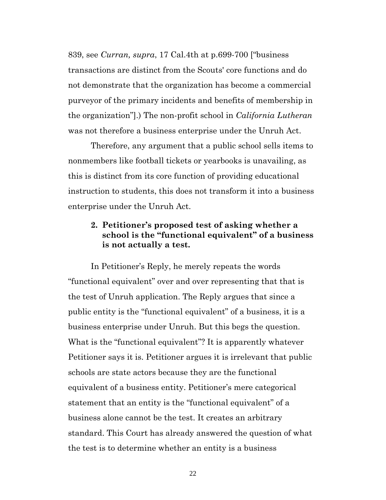839, see *Curran, supra*, 17 Cal.4th at p.699-700 ["business transactions are distinct from the Scouts' core functions and do not demonstrate that the organization has become a commercial purveyor of the primary incidents and benefits of membership in the organization"].) The non-profit school in *California Lutheran*  was not therefore a business enterprise under the Unruh Act.

Therefore, any argument that a public school sells items to nonmembers like football tickets or yearbooks is unavailing, as this is distinct from its core function of providing educational instruction to students, this does not transform it into a business enterprise under the Unruh Act.

### <span id="page-21-0"></span>**2. Petitioner's proposed test of asking whether a school is the "functional equivalent" of a business is not actually a test.**

In Petitioner's Reply, he merely repeats the words "functional equivalent" over and over representing that that is the test of Unruh application. The Reply argues that since a public entity is the "functional equivalent" of a business, it is a business enterprise under Unruh. But this begs the question. What is the "functional equivalent"? It is apparently whatever Petitioner says it is. Petitioner argues it is irrelevant that public schools are state actors because they are the functional equivalent of a business entity. Petitioner's mere categorical statement that an entity is the "functional equivalent" of a business alone cannot be the test. It creates an arbitrary standard. This Court has already answered the question of what the test is to determine whether an entity is a business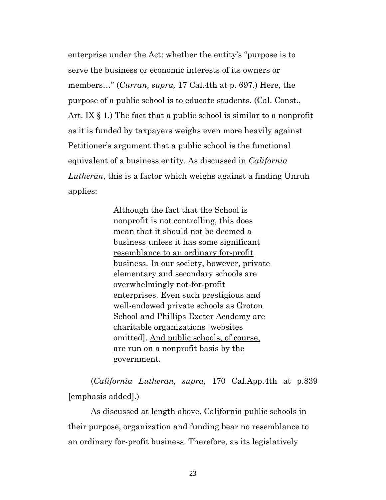enterprise under the Act: whether the entity's "purpose is to serve the business or economic interests of its owners or members…" (*Curran, supra,* 17 Cal.4th at p. 697.) Here, the purpose of a public school is to educate students. (Cal. Const., Art. IX  $\S$  1.) The fact that a public school is similar to a nonprofit as it is funded by taxpayers weighs even more heavily against Petitioner's argument that a public school is the functional equivalent of a business entity. As discussed in *California Lutheran*, this is a factor which weighs against a finding Unruh applies:

> Although the fact that the School is nonprofit is not controlling, this does mean that it should not be deemed a business unless it has some significant resemblance to an ordinary for-profit business. In our society, however, private elementary and secondary schools are overwhelmingly not-for-profit enterprises. Even such prestigious and well-endowed private schools as Groton School and Phillips Exeter Academy are charitable organizations [websites omitted]. And public schools, of course, are run on a nonprofit basis by the government.

(*California Lutheran, supra,* 170 Cal.App.4th at p.839 [emphasis added].)

As discussed at length above, California public schools in their purpose, organization and funding bear no resemblance to an ordinary for-profit business. Therefore, as its legislatively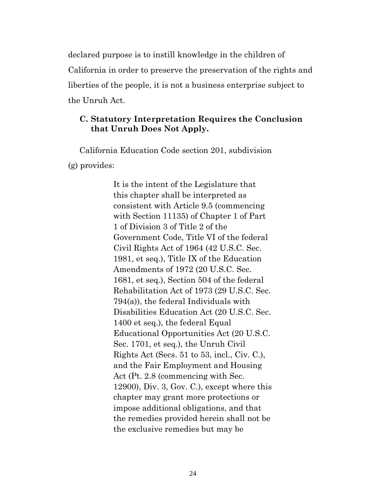declared purpose is to instill knowledge in the children of California in order to preserve the preservation of the rights and liberties of the people, it is not a business enterprise subject to the Unruh Act.

#### <span id="page-23-0"></span>**C. Statutory Interpretation Requires the Conclusion that Unruh Does Not Apply.**

California Education Code section 201, subdivision (g) provides:

> It is the intent of the Legislature that this chapter shall be interpreted as consistent with Article 9.5 (commencing with Section 11135) of Chapter 1 of Part 1 of Division 3 of Title 2 of the Government Code, Title VI of the federal Civil Rights Act of 1964 (42 U.S.C. Sec. 1981, et seq.), Title IX of the Education Amendments of 1972 (20 U.S.C. Sec. 1681, et seq.), Section 504 of the federal Rehabilitation Act of 1973 (29 U.S.C. Sec. 794(a)), the federal Individuals with Disabilities Education Act (20 U.S.C. Sec. 1400 et seq.), the federal Equal Educational Opportunities Act (20 U.S.C. Sec. 1701, et seq.), the Unruh Civil Rights Act (Secs. 51 to 53, incl., Civ. C.), and the Fair Employment and Housing Act (Pt. 2.8 (commencing with Sec. 12900), Div. 3, Gov. C.), except where this chapter may grant more protections or impose additional obligations, and that the remedies provided herein shall not be the exclusive remedies but may be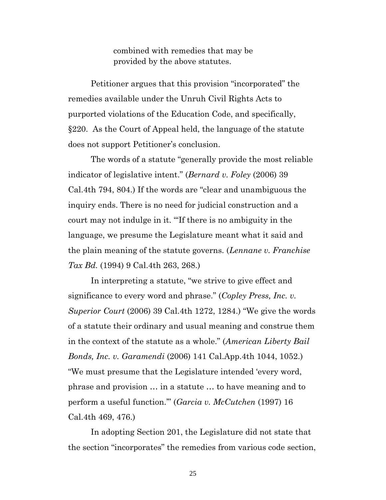combined with remedies that may be provided by the above statutes.

Petitioner argues that this provision "incorporated" the remedies available under the Unruh Civil Rights Acts to purported violations of the Education Code, and specifically, §220. As the Court of Appeal held, the language of the statute does not support Petitioner's conclusion.

The words of a statute "generally provide the most reliable indicator of legislative intent." (*Bernard v. Foley* (2006) 39 Cal.4th 794, 804.) If the words are "clear and unambiguous the inquiry ends. There is no need for judicial construction and a court may not indulge in it. "'If there is no ambiguity in the language, we presume the Legislature meant what it said and the plain meaning of the statute governs. (*Lennane v. Franchise Tax Bd.* (1994) 9 Cal.4th 263, 268.)

In interpreting a statute, "we strive to give effect and significance to every word and phrase." (*Copley Press, Inc. v. Superior Court* (2006) 39 Cal.4th 1272, 1284.) "We give the words of a statute their ordinary and usual meaning and construe them in the context of the statute as a whole." (*American Liberty Bail Bonds, Inc. v. Garamendi* (2006) 141 Cal.App.4th 1044, 1052.) "We must presume that the Legislature intended 'every word, phrase and provision … in a statute … to have meaning and to perform a useful function.'" (*Garcia v. McCutchen* (1997) 16 Cal.4th 469, 476.)

In adopting Section 201, the Legislature did not state that the section "incorporates" the remedies from various code section,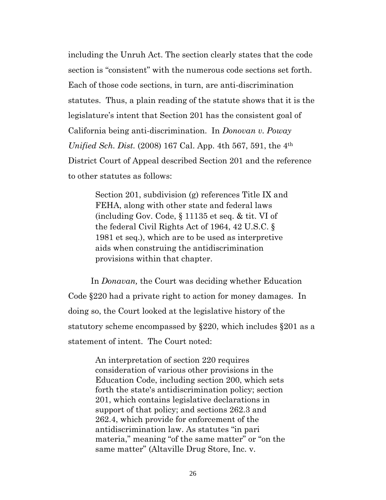including the Unruh Act. The section clearly states that the code section is "consistent" with the numerous code sections set forth. Each of those code sections, in turn, are anti-discrimination statutes. Thus, a plain reading of the statute shows that it is the legislature's intent that Section 201 has the consistent goal of California being anti-discrimination. In *Donovan v. Poway Unified Sch. Dist.* (2008) 167 Cal. App. 4th 567, 591, the 4<sup>th</sup> District Court of Appeal described Section 201 and the reference to other statutes as follows:

> Section 201, subdivision (g) references Title IX and FEHA, along with other state and federal laws (including Gov. Code, § 11135 et seq. & tit. VI of the federal Civil Rights Act of 1964, 42 U.S.C. § 1981 et seq.), which are to be used as interpretive aids when construing the antidiscrimination provisions within that chapter.

In *Donavan,* the Court was deciding whether Education Code §220 had a private right to action for money damages. In doing so, the Court looked at the legislative history of the statutory scheme encompassed by §220, which includes §201 as a statement of intent. The Court noted:

> An interpretation of section 220 requires consideration of various other provisions in the Education Code, including section 200, which sets forth the state's antidiscrimination policy; section 201, which contains legislative declarations in support of that policy; and sections 262.3 and 262.4, which provide for enforcement of the antidiscrimination law. As statutes "in pari materia," meaning "of the same matter" or "on the same matter" (Altaville Drug Store, Inc. v.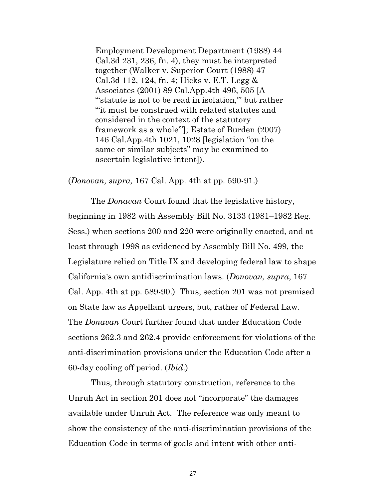Employment Development Department (1988) 44 Cal.3d 231, 236, fn. 4), they must be interpreted together (Walker v. Superior Court (1988) 47 Cal.3d 112, 124, fn. 4; Hicks v. E.T. Legg & Associates (2001) 89 Cal.App.4th 496, 505 [A "statute is not to be read in isolation," but rather "'it must be construed with related statutes and considered in the context of the statutory framework as a whole'"]; Estate of Burden (2007) 146 Cal.App.4th 1021, 1028 [legislation "on the same or similar subjects" may be examined to ascertain legislative intent]).

(*Donovan, supra,* 167 Cal. App. 4th at pp. 590-91.)

The *Donavan* Court found that the legislative history, beginning in 1982 with Assembly Bill No. 3133 (1981–1982 Reg. Sess.) when sections 200 and 220 were originally enacted, and at least through 1998 as evidenced by Assembly Bill No. 499, the Legislature relied on Title IX and developing federal law to shape California's own antidiscrimination laws. (*Donovan, supra*, 167 Cal. App. 4th at pp. 589-90.) Thus, section 201 was not premised on State law as Appellant urgers, but, rather of Federal Law. The *Donavan* Court further found that under Education Code sections 262.3 and 262.4 provide enforcement for violations of the anti-discrimination provisions under the Education Code after a 60-day cooling off period. (*Ibid*.)

Thus, through statutory construction, reference to the Unruh Act in section 201 does not "incorporate" the damages available under Unruh Act. The reference was only meant to show the consistency of the anti-discrimination provisions of the Education Code in terms of goals and intent with other anti-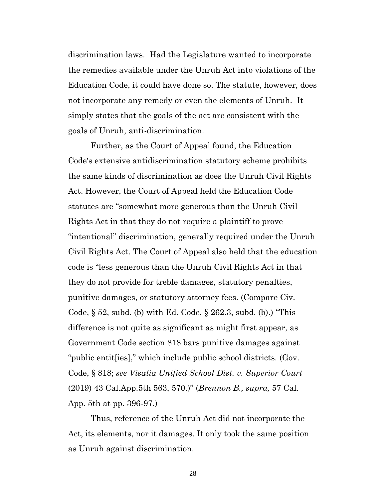discrimination laws. Had the Legislature wanted to incorporate the remedies available under the Unruh Act into violations of the Education Code, it could have done so. The statute, however, does not incorporate any remedy or even the elements of Unruh. It simply states that the goals of the act are consistent with the goals of Unruh, anti-discrimination.

Further, as the Court of Appeal found, the Education Code's extensive antidiscrimination statutory scheme prohibits the same kinds of discrimination as does the Unruh Civil Rights Act. However, the Court of Appeal held the Education Code statutes are "somewhat more generous than the Unruh Civil Rights Act in that they do not require a plaintiff to prove "intentional" discrimination, generally required under the Unruh Civil Rights Act. The Court of Appeal also held that the education code is "less generous than the Unruh Civil Rights Act in that they do not provide for treble damages, statutory penalties, punitive damages, or statutory attorney fees. (Compare Civ. Code, § 52, subd. (b) with Ed. Code, § 262.3, subd. (b).) "This difference is not quite as significant as might first appear, as Government Code section 818 bars punitive damages against "public entit[ies]," which include public school districts. (Gov. Code, § 818; *see Visalia Unified School Dist. v. Superior Court* (2019) 43 Cal.App.5th 563, 570.)" (*Brennon B., supra,* 57 Cal. App. 5th at pp. 396-97.)

Thus, reference of the Unruh Act did not incorporate the Act, its elements, nor it damages. It only took the same position as Unruh against discrimination.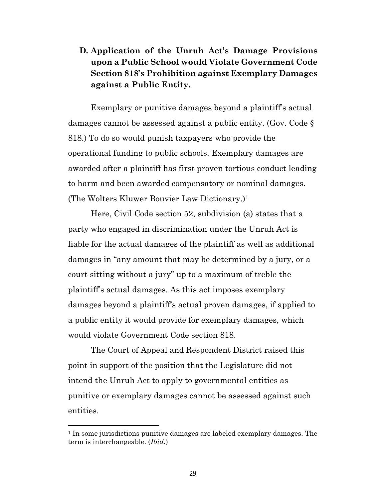# <span id="page-28-0"></span>**D. Application of the Unruh Act's Damage Provisions upon a Public School would Violate Government Code Section 818's Prohibition against Exemplary Damages against a Public Entity.**

Exemplary or punitive damages beyond a plaintiff's actual damages cannot be assessed against a public entity. (Gov. Code § 818.) To do so would punish taxpayers who provide the operational funding to public schools. Exemplary damages are awarded after a plaintiff has first proven tortious conduct leading to harm and been awarded compensatory or nominal damages. (The Wolters Kluwer Bouvier Law Dictionary.)<sup>1</sup>

Here, Civil Code section 52, subdivision (a) states that a party who engaged in discrimination under the Unruh Act is liable for the actual damages of the plaintiff as well as additional damages in "any amount that may be determined by a jury, or a court sitting without a jury" up to a maximum of treble the plaintiff's actual damages. As this act imposes exemplary damages beyond a plaintiff's actual proven damages, if applied to a public entity it would provide for exemplary damages, which would violate Government Code section 818.

The Court of Appeal and Respondent District raised this point in support of the position that the Legislature did not intend the Unruh Act to apply to governmental entities as punitive or exemplary damages cannot be assessed against such entities.

<sup>&</sup>lt;sup>1</sup> In some jurisdictions punitive damages are labeled exemplary damages. The term is interchangeable. (*Ibid.*)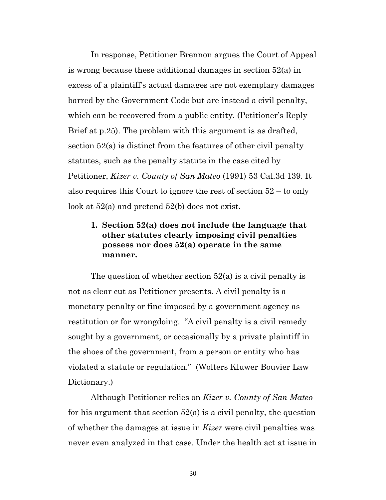In response, Petitioner Brennon argues the Court of Appeal is wrong because these additional damages in section 52(a) in excess of a plaintiff's actual damages are not exemplary damages barred by the Government Code but are instead a civil penalty, which can be recovered from a public entity. (Petitioner's Reply Brief at p.25). The problem with this argument is as drafted, section 52(a) is distinct from the features of other civil penalty statutes, such as the penalty statute in the case cited by Petitioner, *Kizer v. County of San Mateo* (1991) 53 Cal.3d 139. It also requires this Court to ignore the rest of section 52 – to only look at 52(a) and pretend 52(b) does not exist.

### <span id="page-29-0"></span>**1. Section 52(a) does not include the language that other statutes clearly imposing civil penalties possess nor does 52(a) operate in the same manner.**

The question of whether section 52(a) is a civil penalty is not as clear cut as Petitioner presents. A civil penalty is a monetary penalty or fine imposed by a government agency as restitution or for wrongdoing. "A civil penalty is a civil remedy sought by a government, or occasionally by a private plaintiff in the shoes of the government, from a person or entity who has violated a statute or regulation." (Wolters Kluwer Bouvier Law Dictionary.)

Although Petitioner relies on *Kizer v. County of San Mateo* for his argument that section  $52(a)$  is a civil penalty, the question of whether the damages at issue in *Kizer* were civil penalties was never even analyzed in that case. Under the health act at issue in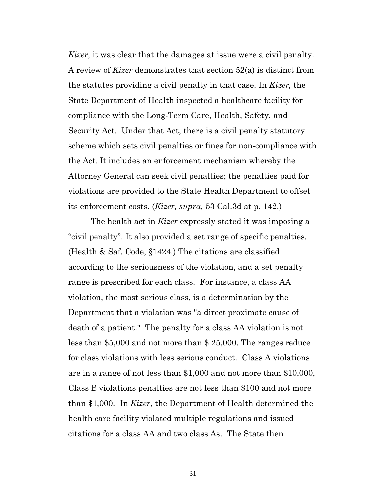*Kizer,* it was clear that the damages at issue were a civil penalty. A review of *Kizer* demonstrates that section 52(a) is distinct from the statutes providing a civil penalty in that case. In *Kizer,* the State Department of Health inspected a healthcare facility for compliance with the Long-Term Care, Health, Safety, and Security Act. Under that Act, there is a civil penalty statutory scheme which sets civil penalties or fines for non-compliance with the Act. It includes an enforcement mechanism whereby the Attorney General can seek civil penalties; the penalties paid for violations are provided to the State Health Department to offset its enforcement costs. (*Kizer, supra,* 53 Cal.3d at p. 142.)

The health act in *Kizer* expressly stated it was imposing a "civil penalty". It also provided a set range of specific penalties. (Health & Saf. Code, §1424.) The citations are classified according to the seriousness of the violation, and a set penalty range is prescribed for each class. For instance, a class AA violation, the most serious class, is a determination by the Department that a violation was "a direct proximate cause of death of a patient." The penalty for a class AA violation is not less than \$5,000 and not more than \$ 25,000. The ranges reduce for class violations with less serious conduct. Class A violations are in a range of not less than \$1,000 and not more than \$10,000, Class B violations penalties are not less than \$100 and not more than \$1,000. In *Kizer*, the Department of Health determined the health care facility violated multiple regulations and issued citations for a class AA and two class As. The State then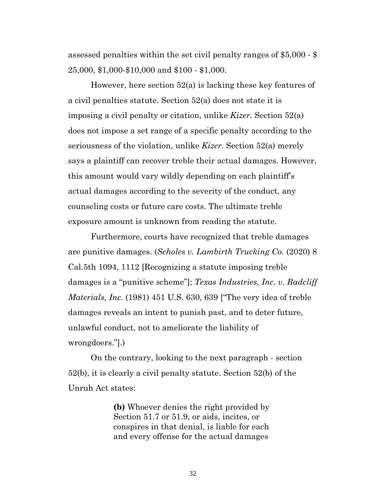assessed penalties within the set civil penalty ranges of \$5,000 - \$ 25,000, \$1,000-\$10,000 and \$100 - \$1,000.

However, here section 52(a) is lacking these key features of a civil penalties statute. Section 52(a) does not state it is imposing a civil penalty or citation, unlike *Kizer.* Section 52(a) does not impose a set range of a specific penalty according to the seriousness of the violation, unlike *Kizer.* Section 52(a) merely says a plaintiff can recover treble their actual damages. However, this amount would vary wildly depending on each plaintiff's actual damages according to the severity of the conduct, any counseling costs or future care costs. The ultimate treble exposure amount is unknown from reading the statute.

Furthermore, courts have recognized that treble damages are punitive damages. (*Scholes v. Lambirth Trucking Co.* (2020) 8 Cal.5th 1094, 1112 [Recognizing a statute imposing treble damages is a "punitive scheme"]; *Texas Industries, Inc. v. Radcliff Materials, Inc.* (1981) 451 U.S. 630, 639 ["The very idea of treble damages reveals an intent to punish past, and to deter future, unlawful conduct, not to ameliorate the liability of wrongdoers."].)

On the contrary, looking to the next paragraph - section 52(b), it is clearly a civil penalty statute. Section 52(b) of the Unruh Act states:

> **(b)** Whoever denies the right provided by Section 51.7 or 51.9, or aids, incites, or conspires in that denial, is liable for each and every offense for the actual damages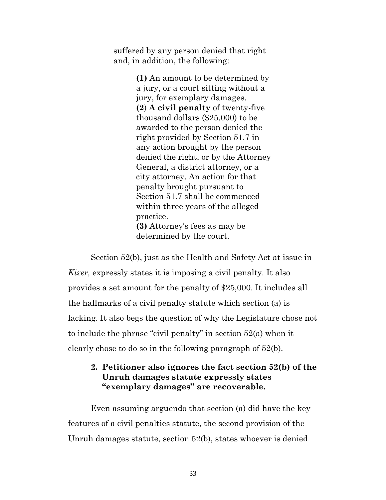suffered by any person denied that right and, in addition, the following:

> **(1)** An amount to be determined by a jury, or a court sitting without a jury, for exemplary damages. **(2**) **A civil penalty** of twenty-five thousand dollars (\$25,000) to be awarded to the person denied the right provided by Section 51.7 in any action brought by the person denied the right, or by the Attorney General, a district attorney, or a city attorney. An action for that penalty brought pursuant to Section 51.7 shall be commenced within three years of the alleged practice. **(3)** Attorney's fees as may be determined by the court.

Section 52(b), just as the Health and Safety Act at issue in *Kizer,* expressly states it is imposing a civil penalty. It also provides a set amount for the penalty of \$25,000. It includes all the hallmarks of a civil penalty statute which section (a) is lacking. It also begs the question of why the Legislature chose not to include the phrase "civil penalty" in section 52(a) when it clearly chose to do so in the following paragraph of 52(b).

#### <span id="page-32-0"></span>**2. Petitioner also ignores the fact section 52(b) of the Unruh damages statute expressly states "exemplary damages" are recoverable.**

Even assuming arguendo that section (a) did have the key features of a civil penalties statute, the second provision of the Unruh damages statute, section 52(b), states whoever is denied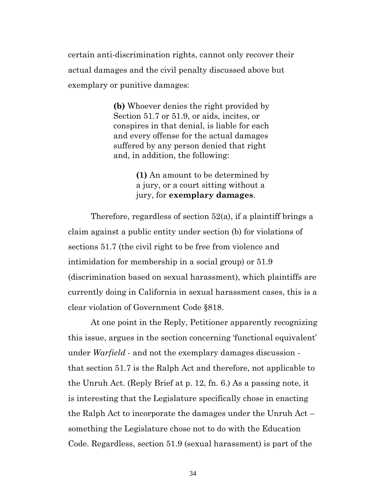certain anti-discrimination rights, cannot only recover their actual damages and the civil penalty discussed above but exemplary or punitive damages:

> **(b)** Whoever denies the right provided by Section 51.7 or 51.9, or aids, incites, or conspires in that denial, is liable for each and every offense for the actual damages suffered by any person denied that right and, in addition, the following:

> > **(1)** An amount to be determined by a jury, or a court sitting without a jury, for **exemplary damages**.

Therefore, regardless of section 52(a), if a plaintiff brings a claim against a public entity under section (b) for violations of sections 51.7 (the civil right to be free from violence and intimidation for membership in a social group) or 51.9 (discrimination based on sexual harassment), which plaintiffs are currently doing in California in sexual harassment cases, this is a clear violation of Government Code §818.

At one point in the Reply, Petitioner apparently recognizing this issue, argues in the section concerning 'functional equivalent' under *Warfield* - and not the exemplary damages discussion that section 51.7 is the Ralph Act and therefore, not applicable to the Unruh Act. (Reply Brief at p. 12, fn. 6.) As a passing note, it is interesting that the Legislature specifically chose in enacting the Ralph Act to incorporate the damages under the Unruh Act – something the Legislature chose not to do with the Education Code. Regardless, section 51.9 (sexual harassment) is part of the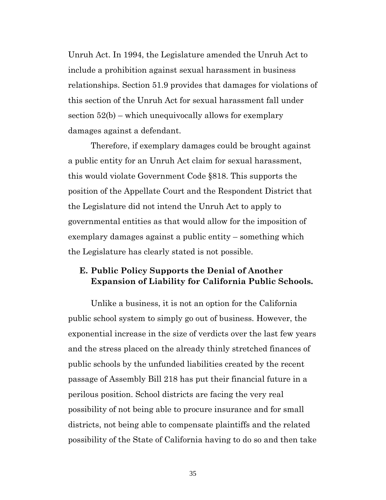Unruh Act. In 1994, the Legislature amended the Unruh Act to include a prohibition against sexual harassment in business relationships. Section 51.9 provides that damages for violations of this section of the Unruh Act for sexual harassment fall under section 52(b) – which unequivocally allows for exemplary damages against a defendant.

Therefore, if exemplary damages could be brought against a public entity for an Unruh Act claim for sexual harassment, this would violate Government Code §818. This supports the position of the Appellate Court and the Respondent District that the Legislature did not intend the Unruh Act to apply to governmental entities as that would allow for the imposition of exemplary damages against a public entity – something which the Legislature has clearly stated is not possible.

### <span id="page-34-0"></span>**E. Public Policy Supports the Denial of Another Expansion of Liability for California Public Schools.**

Unlike a business, it is not an option for the California public school system to simply go out of business. However, the exponential increase in the size of verdicts over the last few years and the stress placed on the already thinly stretched finances of public schools by the unfunded liabilities created by the recent passage of Assembly Bill 218 has put their financial future in a perilous position. School districts are facing the very real possibility of not being able to procure insurance and for small districts, not being able to compensate plaintiffs and the related possibility of the State of California having to do so and then take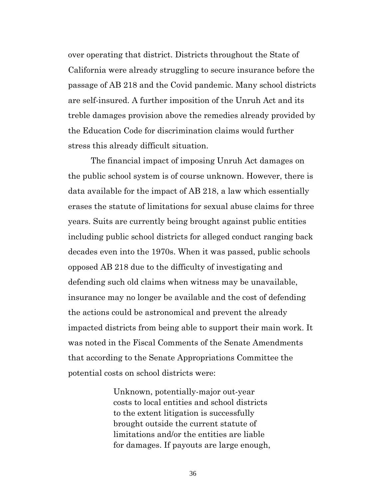over operating that district. Districts throughout the State of California were already struggling to secure insurance before the passage of AB 218 and the Covid pandemic. Many school districts are self-insured. A further imposition of the Unruh Act and its treble damages provision above the remedies already provided by the Education Code for discrimination claims would further stress this already difficult situation.

The financial impact of imposing Unruh Act damages on the public school system is of course unknown. However, there is data available for the impact of AB 218, a law which essentially erases the statute of limitations for sexual abuse claims for three years. Suits are currently being brought against public entities including public school districts for alleged conduct ranging back decades even into the 1970s. When it was passed, public schools opposed AB 218 due to the difficulty of investigating and defending such old claims when witness may be unavailable, insurance may no longer be available and the cost of defending the actions could be astronomical and prevent the already impacted districts from being able to support their main work. It was noted in the Fiscal Comments of the Senate Amendments that according to the Senate Appropriations Committee the potential costs on school districts were:

> Unknown, potentially-major out-year costs to local entities and school districts to the extent litigation is successfully brought outside the current statute of limitations and/or the entities are liable for damages. If payouts are large enough,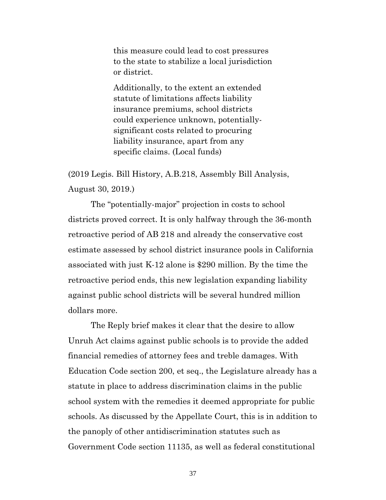this measure could lead to cost pressures to the state to stabilize a local jurisdiction or district.

Additionally, to the extent an extended statute of limitations affects liability insurance premiums, school districts could experience unknown, potentiallysignificant costs related to procuring liability insurance, apart from any specific claims. (Local funds)

(2019 Legis. Bill History, A.B.218, Assembly Bill Analysis, August 30, 2019.)

The "potentially-major" projection in costs to school districts proved correct. It is only halfway through the 36-month retroactive period of AB 218 and already the conservative cost estimate assessed by school district insurance pools in California associated with just K-12 alone is \$290 million. By the time the retroactive period ends, this new legislation expanding liability against public school districts will be several hundred million dollars more.

The Reply brief makes it clear that the desire to allow Unruh Act claims against public schools is to provide the added financial remedies of attorney fees and treble damages. With Education Code section 200, et seq., the Legislature already has a statute in place to address discrimination claims in the public school system with the remedies it deemed appropriate for public schools. As discussed by the Appellate Court, this is in addition to the panoply of other antidiscrimination statutes such as Government Code section 11135, as well as federal constitutional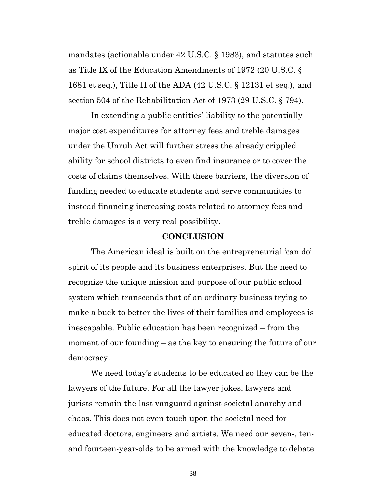mandates (actionable under 42 U.S.C. § 1983), and statutes such as Title IX of the Education Amendments of 1972 (20 U.S.C. § 1681 et seq.), Title II of the ADA (42 U.S.C. § 12131 et seq.), and section 504 of the Rehabilitation Act of 1973 (29 U.S.C. § 794).

In extending a public entities' liability to the potentially major cost expenditures for attorney fees and treble damages under the Unruh Act will further stress the already crippled ability for school districts to even find insurance or to cover the costs of claims themselves. With these barriers, the diversion of funding needed to educate students and serve communities to instead financing increasing costs related to attorney fees and treble damages is a very real possibility.

#### **CONCLUSION**

<span id="page-37-0"></span>The American ideal is built on the entrepreneurial 'can do' spirit of its people and its business enterprises. But the need to recognize the unique mission and purpose of our public school system which transcends that of an ordinary business trying to make a buck to better the lives of their families and employees is inescapable. Public education has been recognized – from the moment of our founding – as the key to ensuring the future of our democracy.

We need today's students to be educated so they can be the lawyers of the future. For all the lawyer jokes, lawyers and jurists remain the last vanguard against societal anarchy and chaos. This does not even touch upon the societal need for educated doctors, engineers and artists. We need our seven-, tenand fourteen-year-olds to be armed with the knowledge to debate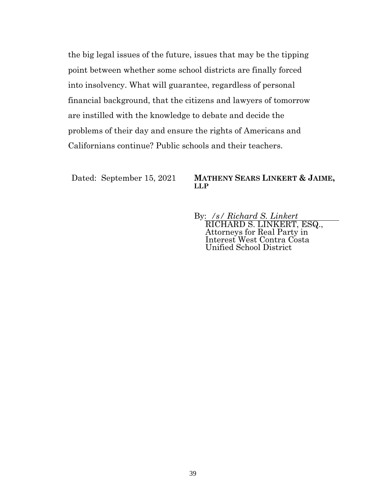the big legal issues of the future, issues that may be the tipping point between whether some school districts are finally forced into insolvency. What will guarantee, regardless of personal financial background, that the citizens and lawyers of tomorrow are instilled with the knowledge to debate and decide the problems of their day and ensure the rights of Americans and Californians continue? Public schools and their teachers.

#### Dated: September 15, 2021 **MATHENY SEARS LINKERT & JAIME, LLP**

By: */s/ Richard S. Linkert* RICHARD S. LINKERT, ESQ., Attorneys for Real Party in Interest West Contra Costa Unified School District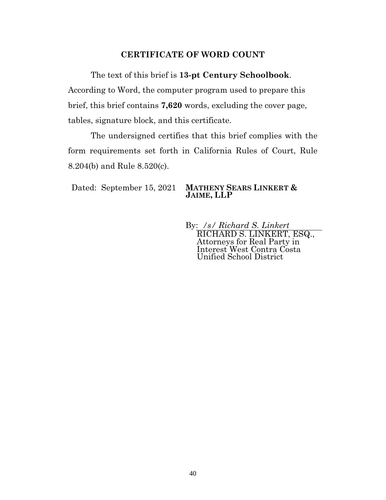#### **CERTIFICATE OF WORD COUNT**

<span id="page-39-0"></span>The text of this brief is **13-pt Century Schoolbook**. According to Word, the computer program used to prepare this brief, this brief contains **7,620** words, excluding the cover page, tables, signature block, and this certificate.

The undersigned certifies that this brief complies with the form requirements set forth in California Rules of Court, Rule 8.204(b) and Rule 8.520(c).

#### Dated: September 15, 2021 **MATHENY SEARS LINKERT & JAIME, LLP**

By: */s/ Richard S. Linkert* RICHARD S. LINKERT, ESQ., Attorneys for Real Party in Interest West Contra Costa Unified School District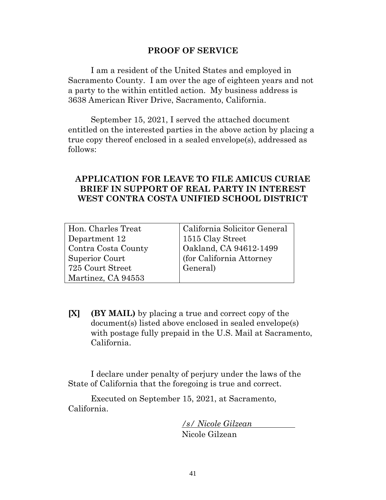#### **PROOF OF SERVICE**

<span id="page-40-0"></span>I am a resident of the United States and employed in Sacramento County. I am over the age of eighteen years and not a party to the within entitled action. My business address is 3638 American River Drive, Sacramento, California.

September 15, 2021, I served the attached document entitled on the interested parties in the above action by placing a true copy thereof enclosed in a sealed envelope(s), addressed as follows:

### **APPLICATION FOR LEAVE TO FILE AMICUS CURIAE BRIEF IN SUPPORT OF REAL PARTY IN INTEREST WEST CONTRA COSTA UNIFIED SCHOOL DISTRICT**

| Hon. Charles Treat  | California Solicitor General |
|---------------------|------------------------------|
| Department 12       | 1515 Clay Street             |
| Contra Costa County | Oakland, CA 94612-1499       |
| Superior Court      | (for California Attorney)    |
| 725 Court Street    | General)                     |
| Martinez, CA 94553  |                              |

**[X] (BY MAIL)** by placing a true and correct copy of the document(s) listed above enclosed in sealed envelope(s) with postage fully prepaid in the U.S. Mail at Sacramento, California.

I declare under penalty of perjury under the laws of the State of California that the foregoing is true and correct.

Executed on September 15, 2021, at Sacramento, California.

> */s/ Nicole Gilzean*  Nicole Gilzean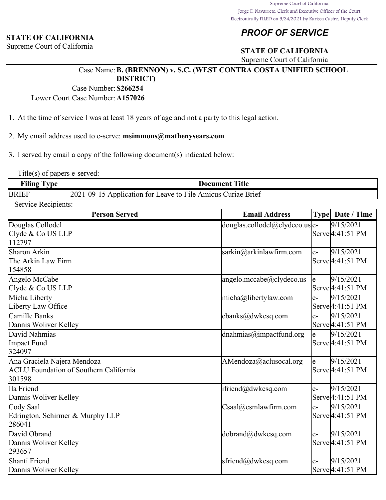#### **STATE OF CALIFORNIA**

Supreme Court of California

## *PROOF OF SERVICE*

## **STATE OF CALIFORNIA**

Supreme Court of California

#### Case Name:**B. (BRENNON) v. S.C. (WEST CONTRA COSTA UNIFIED SCHOOL DISTRICT)**

Case Number:**S266254**

Lower Court Case Number:**A157026**

- 1. At the time of service I was at least 18 years of age and not a party to this legal action.
- 2. My email address used to e-serve: **msimmons@mathenysears.com**

3. I served by email a copy of the following document(s) indicated below:

Title(s) of papers e-served:

| Filing <sup>'</sup> | Γitle                                                            |
|---------------------|------------------------------------------------------------------|
| . vpe               | <b>Document</b>                                                  |
| <b>BRIEF</b>        | 2021-09-1<br>5 Application for Leave to File Amicus Curiae Brief |

Service Recipients:

| <b>Person Served</b>                                                                   | <b>Email Address</b>                                    | Type | Date / Time                                |
|----------------------------------------------------------------------------------------|---------------------------------------------------------|------|--------------------------------------------|
| Douglas Collodel<br>Clyde & Co US LLP<br>112797                                        | $\frac{1}{2}$ douglas.collodel@clydeco.us $\frac{1}{2}$ |      | 9/15/2021<br>Serve <sup>[4:41:51 PM]</sup> |
| Sharon Arkin<br>The Arkin Law Firm<br>154858                                           | sarkin@arkinlawfirm.com                                 | le-  | 9/15/2021<br>Serve 4:41:51 PM              |
| Angelo McCabe<br>Clyde & Co US LLP                                                     | angelo.mccabe@clydeco.us                                | le-  | 9/15/2021<br>Serve <sup>[4:41:51 PM]</sup> |
| Micha Liberty<br>Liberty Law Office                                                    | micha@libertylaw.com                                    | le-  | 9/15/2021<br>Serve 4:41:51 PM              |
| Camille Banks<br>Dannis Woliver Kelley                                                 | cbanks@dwkesq.com                                       | le-  | 9/15/2021<br>Serve 4:41:51 PM              |
| David Nahmias<br>Impact Fund<br>324097                                                 | dnahmias@impactfund.org                                 | le-  | 9/15/2021<br>Serve 4:41:51 PM              |
| Ana Graciela Najera Mendoza<br><b>ACLU Foundation of Southern California</b><br>301598 | AMendoza@aclusocal.org                                  | le-  | 9/15/2021<br>Serve <sup>[4:41:51 PM]</sup> |
| Ila Friend<br>Dannis Woliver Kelley                                                    | ifriend@dwkesq.com                                      | le-  | 9/15/2021<br>Serve <sup>[4:41:51 PM]</sup> |
| Cody Saal<br>Edrington, Schirmer & Murphy LLP<br>286041                                | $\text{Csaal}(a)$ esmlawfirm.com                        | le-  | 9/15/2021<br>Serve <sup>[4:41:51 PM]</sup> |
| David Obrand<br>Dannis Woliver Kelley<br>293657                                        | dobrand@dwkesq.com                                      | le-  | 9/15/2021<br>Serve <sup>[4:41:51 PM]</sup> |
| Shanti Friend<br>Dannis Woliver Kelley                                                 | sfriend@dwkesq.com                                      | le-  | 9/15/2021<br>Serve <sup>[4:41:51 PM]</sup> |